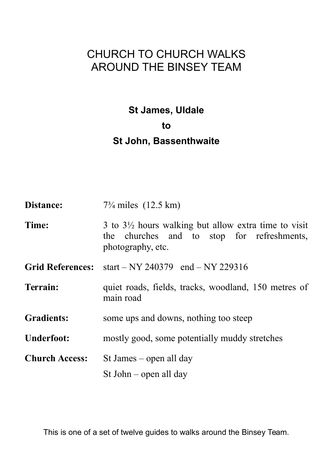# CHURCH TO CHURCH WALKS AROUND THE BINSEY TEAM

**St James, Uldale to St John, Bassenthwaite**

| Distance:               | $7\frac{3}{4}$ miles $(12.5 \text{ km})$                                                                                           |
|-------------------------|------------------------------------------------------------------------------------------------------------------------------------|
| Time:                   | 3 to $3\frac{1}{2}$ hours walking but allow extra time to visit<br>the churches and to stop for refreshments,<br>photography, etc. |
| <b>Grid References:</b> | start – NY 240379 end – NY 229316                                                                                                  |
| <b>Terrain:</b>         | quiet roads, fields, tracks, woodland, 150 metres of<br>main road                                                                  |
| <b>Gradients:</b>       | some ups and downs, nothing too steep                                                                                              |
| <b>Underfoot:</b>       | mostly good, some potentially muddy stretches                                                                                      |
| <b>Church Access:</b>   | St James – open all day                                                                                                            |
|                         | St John $-$ open all day                                                                                                           |

This is one of a set of twelve guides to walks around the Binsey Team.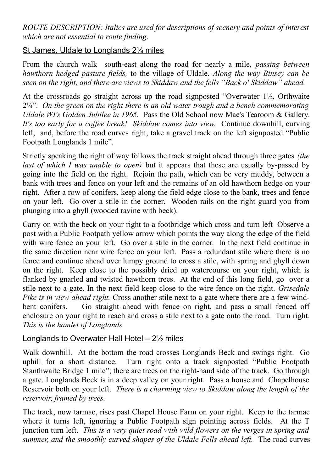*ROUTE DESCRIPTION: Italics are used for descriptions of scenery and points of interest which are not essential to route finding.*

## St James, Uldale to Longlands 2¼ miles

From the church walk south-east along the road for nearly a mile, *passing between hawthorn hedged pasture fields,* to the village of Uldale. *Along the way Binsey can be seen on the right, and there are views to Skiddaw and the fells "Back o' Skiddaw" ahead.*

At the crossroads go straight across up the road signposted "Overwater 1½, Orthwaite 2¼". *On the green on the right there is an old water trough and a bench commemorating Uldale WI's Golden Jubilee in 1965.* Pass the Old School now Mae's Tearoom & Gallery. *It's too early for a coffee break! Skiddaw comes into view.* Continue downhill, curving left, and, before the road curves right, take a gravel track on the left signposted "Public Footpath Longlands 1 mile".

Strictly speaking the right of way follows the track straight ahead through three gates *(the last of which I was unable to open*) but it appears that these are usually by-passed by going into the field on the right. Rejoin the path, which can be very muddy, between a bank with trees and fence on your left and the remains of an old hawthorn hedge on your right. After a row of conifers, keep along the field edge close to the bank, trees and fence on your left. Go over a stile in the corner. Wooden rails on the right guard you from plunging into a ghyll (wooded ravine with beck).

Carry on with the beck on your right to a footbridge which cross and turn left Observe a post with a Public Footpath yellow arrow which points the way along the edge of the field with wire fence on your left. Go over a stile in the corner. In the next field continue in the same direction near wire fence on your left. Pass a redundant stile where there is no fence and continue ahead over lumpy ground to cross a stile, with spring and ghyll down on the right. Keep close to the possibly dried up watercourse on your right, which is flanked by gnarled and twisted hawthorn trees. At the end of this long field, go over a stile next to a gate. In the next field keep close to the wire fence on the right. *Grisedale Pike is in view ahead right.* Cross another stile next to a gate where there are a few windbent conifers. Go straight ahead with fence on right, and pass a small fenced off enclosure on your right to reach and cross a stile next to a gate onto the road. Turn right. *This is the hamlet of Longlands.*

#### Longlands to Overwater Hall Hotel – 2½ miles

Walk downhill. At the bottom the road crosses Longlands Beck and swings right. Go uphill for a short distance. Turn right onto a track signposted "Public Footpath Stanthwaite Bridge 1 mile"; there are trees on the right-hand side of the track. Go through a gate. Longlands Beck is in a deep valley on your right. Pass a house and Chapelhouse Reservoir both on your left. *There is a charming view to Skiddaw along the length of the reservoir, framed by trees.*

The track, now tarmac, rises past Chapel House Farm on your right. Keep to the tarmac where it turns left, ignoring a Public Footpath sign pointing across fields. At the T junction turn left. *This is a very quiet road with wild flowers on the verges in spring and summer, and the smoothly curved shapes of the Uldale Fells ahead left.* The road curves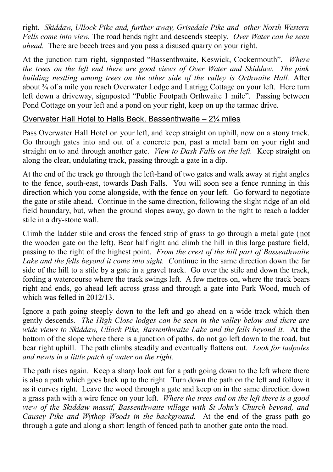right. *Skiddaw, Ullock Pike and, further away, Grisedale Pike and other North Western Fells come into view.* The road bends right and descends steeply. *Over Water can be seen ahead.* There are beech trees and you pass a disused quarry on your right.

At the junction turn right, signposted "Bassenthwaite, Keswick, Cockermouth". *Where the trees on the left end there are good views of Over Water and Skiddaw. The pink building nestling among trees on the other side of the valley is Orthwaite Hall.* After about ¾ of a mile you reach Overwater Lodge and Latrigg Cottage on your left. Here turn left down a driveway, signposted "Public Footpath Orthwaite 1 mile". Passing between Pond Cottage on your left and a pond on your right, keep on up the tarmac drive.

## Overwater Hall Hotel to Halls Beck, Bassenthwaite – 2¼ miles

Pass Overwater Hall Hotel on your left, and keep straight on uphill, now on a stony track. Go through gates into and out of a concrete pen, past a metal barn on your right and straight on to and through another gate. *View to Dash Falls on the left.* Keep straight on along the clear, undulating track, passing through a gate in a dip.

At the end of the track go through the left-hand of two gates and walk away at right angles to the fence, south-east, towards Dash Falls. You will soon see a fence running in this direction which you come alongside, with the fence on your left. Go forward to negotiate the gate or stile ahead. Continue in the same direction, following the slight ridge of an old field boundary, but, when the ground slopes away, go down to the right to reach a ladder stile in a dry-stone wall.

Climb the ladder stile and cross the fenced strip of grass to go through a metal gate (not the wooden gate on the left). Bear half right and climb the hill in this large pasture field, passing to the right of the highest point. *From the crest of the hill part of Bassenthwaite Lake and the fells beyond it come into sight. C*ontinue in the same direction down the far side of the hill to a stile by a gate in a gravel track. Go over the stile and down the track, fording a watercourse where the track swings left. A few metres on, where the track bears right and ends, go ahead left across grass and through a gate into Park Wood, much of which was felled in 2012/13.

Ignore a path going steeply down to the left and go ahead on a wide track which then gently descends. *The High Close lodges can be seen in the valley below and there are wide views to Skiddaw, Ullock Pike, Bassenthwaite Lake and the fells beyond it.* At the bottom of the slope where there is a junction of paths, do not go left down to the road, but bear right uphill. The path climbs steadily and eventually flattens out. *Look for tadpoles and newts in a little patch of water on the right.*

The path rises again. Keep a sharp look out for a path going down to the left where there is also a path which goes back up to the right. Turn down the path on the left and follow it as it curves right. Leave the wood through a gate and keep on in the same direction down a grass path with a wire fence on your left. *Where the trees end on the left there is a good view of the Skiddaw massif, Bassenthwaite village with St John's Church beyond, and Causey Pike and Wythop Woods in the background.* At the end of the grass path go through a gate and along a short length of fenced path to another gate onto the road.